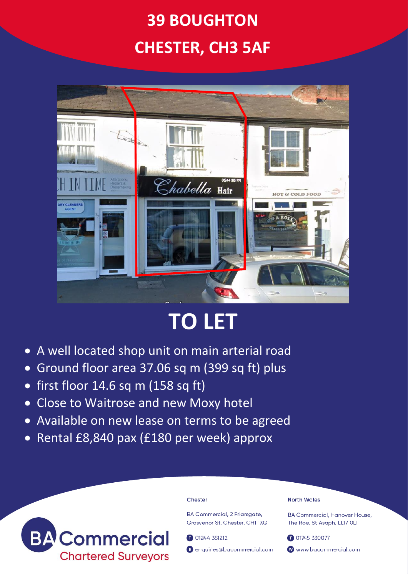## **39 BOUGHTON CHESTER, CH3 5AF**



# **TO LET**

- A well located shop unit on main arterial road
- Ground floor area 37.06 sq m (399 sq ft) plus
- first floor 14.6 sq m (158 sq ft)
- Close to Waitrose and new Moxy hotel
- Available on new lease on terms to be agreed
- Rental £8,840 pax (£180 per week) approx



#### Chester

**BA Commercial, 2 Friarsaate,** Grosvenor St. Chester, CH1 1XG

01244 351212

enquiries@bacommercial.com

#### **North Wales**

**BA Commercial, Hanover House.** The Roe, St Asaph, LL17 OLT

01745 330077 www.bacommercial.com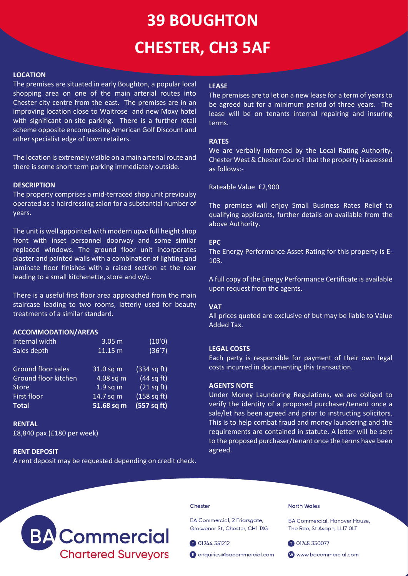## **39 BOUGHTON CHESTER, CH3 5AF**

#### **LOCATION**

The premises are situated in early Boughton, a popular local shopping area on one of the main arterial routes into Chester city centre from the east. The premises are in an improving location close to Waitrose and new Moxy hotel with significant on-site parking. There is a further retail scheme opposite encompassing American Golf Discount and other specialist edge of town retailers.

The location is extremely visible on a main arterial route and there is some short term parking immediately outside.

#### **DESCRIPTION**

The property comprises a mid-terraced shop unit previoulsy operated as a hairdressing salon for a substantial number of years.

The unit is well appointed with modern upvc full height shop front with inset personnel doorway and some similar replaced windows. The ground floor unit incorporates plaster and painted walls with a combination of lighting and laminate floor finishes with a raised section at the rear leading to a small kitchenette, store and w/c.

There is a useful first floor area approached from the main staircase leading to two rooms, latterly used for beauty treatments of a similar standard.

#### **ACCOMMODATION/AREAS**

| Internal width            | 3.05 <sub>m</sub> | (10'0)      |
|---------------------------|-------------------|-------------|
| Sales depth               | 11.15 m           | (36'7)      |
|                           |                   |             |
| <b>Ground floor sales</b> | $31.0$ sq m       | (334 sq ft) |
| Ground floor kitchen      | 4.08 sq m         | (44 sq ft)  |
| <b>Store</b>              | $1.9$ sq m        | (21 sq ft)  |
| <b>First floor</b>        | 14.7 sq m         | (158 sq ft) |
| <b>Total</b>              | 51.68 sq m        | (557 sq ft) |

**RENTAL**

£8,840 pax (£180 per week)

#### **RENT DEPOSIT**

A rent deposit may be requested depending on credit check.

## **LEASE**

The premises are to let on a new lease for a term of years to be agreed but for a minimum period of three years. The lease will be on tenants internal repairing and insuring terms.

#### **RATES**

We are verbally informed by the Local Rating Authority, Chester West & Chester Council that the property is assessed as follows:-

Rateable Value £2,900

The premises will enjoy Small Business Rates Relief to qualifying applicants, further details on available from the above Authority.

#### **EPC**

The Energy Performance Asset Rating for this property is E-103.

A full copy of the Energy Performance Certificate is available upon request from the agents.

#### **VAT**

All prices quoted are exclusive of but may be liable to Value Added Tax.

#### **LEGAL COSTS**

Each party is responsible for payment of their own legal costs incurred in documenting this transaction.

#### **AGENTS NOTE**

Under Money Laundering Regulations, we are obliged to verify the identity of a proposed purchaser/tenant once a sale/let has been agreed and prior to instructing solicitors. This is to help combat fraud and money laundering and the requirements are contained in statute. A letter will be sent to the proposed purchaser/tenant once the terms have been agreed.



#### Chester

BA Commercial, 2 Friarsgate, Grosvenor St, Chester, CH1 1XG

01244 351212

enquiries@bacommercial.com

### **North Wales**

**BA Commercial, Hanover House,** The Roe, St Asaph, LL17 OLT

01745 330077

www.bacommercial.com